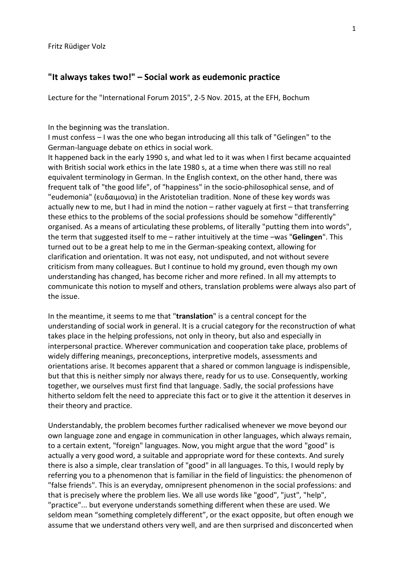## **"It always takes two!" – Social work as eudemonic practice**

Lecture for the "International Forum 2015", 2-5 Nov. 2015, at the EFH, Bochum

In the beginning was the translation.

I must confess – I was the one who began introducing all this talk of "Gelingen" to the German-language debate on ethics in social work.

It happened back in the early 1990 s, and what led to it was when I first became acquainted with British social work ethics in the late 1980 s, at a time when there was still no real equivalent terminology in German. In the English context, on the other hand, there was frequent talk of "the good life", of "happiness" in the socio-philosophical sense, and of "eudemonia" (ευδαιμονια) in the Aristotelian tradition. None of these key words was actually new to me, but I had in mind the notion – rather vaguely at first – that transferring these ethics to the problems of the social professions should be somehow "differently" organised. As a means of articulating these problems, of literally "putting them into words", the term that suggested itself to me – rather intuitively at the time –was "**Gelingen**". This turned out to be a great help to me in the German-speaking context, allowing for clarification and orientation. It was not easy, not undisputed, and not without severe criticism from many colleagues. But I continue to hold my ground, even though my own understanding has changed, has become richer and more refined. In all my attempts to communicate this notion to myself and others, translation problems were always also part of the issue.

In the meantime, it seems to me that "**translation**" is a central concept for the understanding of social work in general. It is a crucial category for the reconstruction of what takes place in the helping professions, not only in theory, but also and especially in interpersonal practice. Wherever communication and cooperation take place, problems of widely differing meanings, preconceptions, interpretive models, assessments and orientations arise. It becomes apparent that a shared or common language is indispensible, but that this is neither simply nor always there, ready for us to use. Consequently, working together, we ourselves must first find that language. Sadly, the social professions have hitherto seldom felt the need to appreciate this fact or to give it the attention it deserves in their theory and practice.

Understandably, the problem becomes further radicalised whenever we move beyond our own language zone and engage in communication in other languages, which always remain, to a certain extent, "foreign" languages. Now, you might argue that the word "good" is actually a very good word, a suitable and appropriate word for these contexts. And surely there is also a simple, clear translation of "good" in all languages. To this, I would reply by referring you to a phenomenon that is familiar in the field of linguistics: the phenomenon of "false friends". This is an everyday, omnipresent phenomenon in the social professions: and that is precisely where the problem lies. We all use words like "good", "just", "help", "practice"... but everyone understands something different when these are used. We seldom mean "something completely different", or the exact opposite, but often enough we assume that we understand others very well, and are then surprised and disconcerted when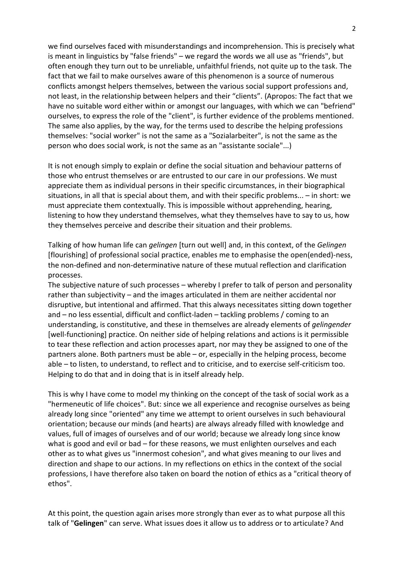we find ourselves faced with misunderstandings and incomprehension. This is precisely what is meant in linguistics by "false friends" – we regard the words we all use as "friends", but often enough they turn out to be unreliable, unfaithful friends, not quite up to the task. The fact that we fail to make ourselves aware of this phenomenon is a source of numerous conflicts amongst helpers themselves, between the various social support professions and, not least, in the relationship between helpers and their "clients". (Apropos: The fact that we have no suitable word either within or amongst our languages, with which we can "befriend" ourselves, to express the role of the "client", is further evidence of the problems mentioned. The same also applies, by the way, for the terms used to describe the helping professions themselves: "social worker" is not the same as a "Sozialarbeiter", is not the same as the person who does social work, is not the same as an "assistante sociale"...)

It is not enough simply to explain or define the social situation and behaviour patterns of those who entrust themselves or are entrusted to our care in our professions. We must appreciate them as individual persons in their specific circumstances, in their biographical situations, in all that is special about them, and with their specific problems... – in short: we must appreciate them contextually. This is impossible without apprehending, hearing, listening to how they understand themselves, what they themselves have to say to us, how they themselves perceive and describe their situation and their problems.

Talking of how human life can *gelingen* [turn out well] and, in this context, of the *Gelingen* [flourishing] of professional social practice, enables me to emphasise the open(ended)-ness, the non-defined and non-determinative nature of these mutual reflection and clarification processes.

The subjective nature of such processes – whereby I prefer to talk of person and personality rather than subjectivity – and the images articulated in them are neither accidental nor disruptive, but intentional and affirmed. That this always necessitates sitting down together and – no less essential, difficult and conflict-laden – tackling problems / coming to an understanding, is constitutive, and these in themselves are already elements of *gelingender* [well-functioning] practice. On neither side of helping relations and actions is it permissible to tear these reflection and action processes apart, nor may they be assigned to one of the partners alone. Both partners must be able – or, especially in the helping process, become able – to listen, to understand, to reflect and to criticise, and to exercise self-criticism too. Helping to do that and in doing that is in itself already help.

This is why I have come to model my thinking on the concept of the task of social work as a "hermeneutic of life choices". But: since we all experience and recognise ourselves as being already long since "oriented" any time we attempt to orient ourselves in such behavioural orientation; because our minds (and hearts) are always already filled with knowledge and values, full of images of ourselves and of our world; because we already long since know what is good and evil or bad – for these reasons, we must enlighten ourselves and each other as to what gives us "innermost cohesion", and what gives meaning to our lives and direction and shape to our actions. In my reflections on ethics in the context of the social professions, I have therefore also taken on board the notion of ethics as a "critical theory of ethos".

At this point, the question again arises more strongly than ever as to what purpose all this talk of "**Gelingen**" can serve. What issues does it allow us to address or to articulate? And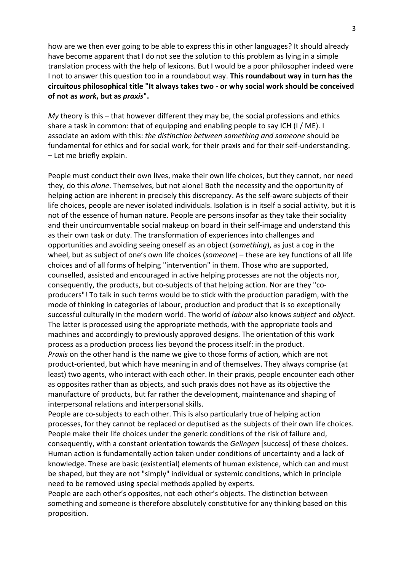how are we then ever going to be able to express this in other languages? It should already have become apparent that I do not see the solution to this problem as lying in a simple translation process with the help of lexicons. But I would be a poor philosopher indeed were I not to answer this question too in a roundabout way. **This roundabout way in turn has the circuitous philosophical title "It always takes two - or why social work should be conceived of not as** *work***, but as** *praxis***".** 

*My* theory is this – that however different they may be, the social professions and ethics share a task in common: that of equipping and enabling people to say ICH (I / ME). I associate an axiom with this: *the distinction between something and someone* should be fundamental for ethics and for social work, for their praxis and for their self-understanding. – Let me briefly explain.

People must conduct their own lives, make their own life choices, but they cannot, nor need they, do this *alone*. Themselves, but not alone! Both the necessity and the opportunity of helping action are inherent in precisely this discrepancy. As the self-aware subjects of their life choices, people are never isolated individuals. Isolation is in itself a social activity, but it is not of the essence of human nature. People are persons insofar as they take their sociality and their uncircumventable social makeup on board in their self-image and understand this as their own task or duty. The transformation of experiences into challenges and opportunities and avoiding seeing oneself as an object (*something*), as just a cog in the wheel, but as subject of one's own life choices (*someone*) – these are key functions of all life choices and of all forms of helping "intervention" in them. Those who are supported, counselled, assisted and encouraged in active helping processes are not the objects nor, consequently, the products, but co-subjects of that helping action. Nor are they "coproducers"! To talk in such terms would be to stick with the production paradigm, with the mode of thinking in categories of labour, production and product that is so exceptionally successful culturally in the modern world. The world of *labour* also knows *subject* and *object*. The latter is processed using the appropriate methods, with the appropriate tools and machines and accordingly to previously approved designs. The orientation of this work process as a production process lies beyond the process itself: in the product. *Praxis* on the other hand is the name we give to those forms of action, which are not product-oriented, but which have meaning in and of themselves. They always comprise (at least) two agents, who interact with each other. In their praxis, people encounter each other as opposites rather than as objects, and such praxis does not have as its objective the manufacture of products, but far rather the development, maintenance and shaping of interpersonal relations and interpersonal skills.

People are co-subjects to each other. This is also particularly true of helping action processes, for they cannot be replaced or deputised as the subjects of their own life choices. People make their life choices under the generic conditions of the risk of failure and, consequently, with a constant orientation towards the *Gelingen* [success] of these choices. Human action is fundamentally action taken under conditions of uncertainty and a lack of knowledge. These are basic (existential) elements of human existence, which can and must be shaped, but they are not "simply" individual or systemic conditions, which in principle need to be removed using special methods applied by experts.

People are each other's opposites, not each other's objects. The distinction between something and someone is therefore absolutely constitutive for any thinking based on this proposition.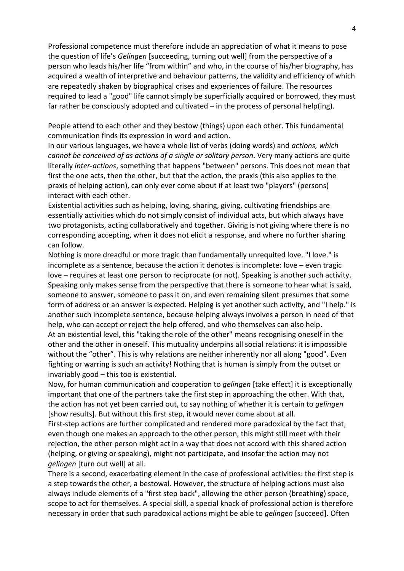Professional competence must therefore include an appreciation of what it means to pose the question of life's *Gelingen* [succeeding, turning out well] from the perspective of a person who leads his/her life "from within" and who, in the course of his/her biography, has acquired a wealth of interpretive and behaviour patterns, the validity and efficiency of which are repeatedly shaken by biographical crises and experiences of failure. The resources required to lead a "good" life cannot simply be superficially acquired or borrowed, they must far rather be consciously adopted and cultivated – in the process of personal help(ing).

People attend to each other and they bestow (things) upon each other. This fundamental communication finds its expression in word and action.

In our various languages, we have a whole list of verbs (doing words) and *actions, which cannot be conceived of as actions of a single or solitary person*. Very many actions are quite literally *inter-actions*, something that happens "between" persons. This does not mean that first the one acts, then the other, but that the action, the praxis (this also applies to the praxis of helping action), can only ever come about if at least two "players" (persons) interact with each other.

Existential activities such as helping, loving, sharing, giving, cultivating friendships are essentially activities which do not simply consist of individual acts, but which always have two protagonists, acting collaboratively and together. Giving is not giving where there is no corresponding accepting, when it does not elicit a response, and where no further sharing can follow.

Nothing is more dreadful or more tragic than fundamentally unrequited love. "I love." is incomplete as a sentence, because the action it denotes is incomplete: love – even tragic love – requires at least one person to reciprocate (or not). Speaking is another such activity. Speaking only makes sense from the perspective that there is someone to hear what is said, someone to answer, someone to pass it on, and even remaining silent presumes that some form of address or an answer is expected. Helping is yet another such activity, and "I help." is another such incomplete sentence, because helping always involves a person in need of that help, who can accept or reject the help offered, and who themselves can also help. At an existential level, this "taking the role of the other" means recognising oneself in the other and the other in oneself. This mutuality underpins all social relations: it is impossible without the "other". This is why relations are neither inherently nor all along "good". Even fighting or warring is such an activity! Nothing that is human is simply from the outset or invariably good – this too is existential.

Now, for human communication and cooperation to *gelingen* [take effect] it is exceptionally important that one of the partners take the first step in approaching the other. With that, the action has not yet been carried out, to say nothing of whether it is certain to *gelingen* [show results]. But without this first step, it would never come about at all.

First-step actions are further complicated and rendered more paradoxical by the fact that, even though one makes an approach to the other person, this might still meet with their rejection, the other person might act in a way that does not accord with this shared action (helping, or giving or speaking), might not participate, and insofar the action may not *gelingen* [turn out well] at all.

There is a second, exacerbating element in the case of professional activities: the first step is a step towards the other, a bestowal. However, the structure of helping actions must also always include elements of a "first step back", allowing the other person (breathing) space, scope to act for themselves. A special skill, a special knack of professional action is therefore necessary in order that such paradoxical actions might be able to *gelingen* [succeed]. Often